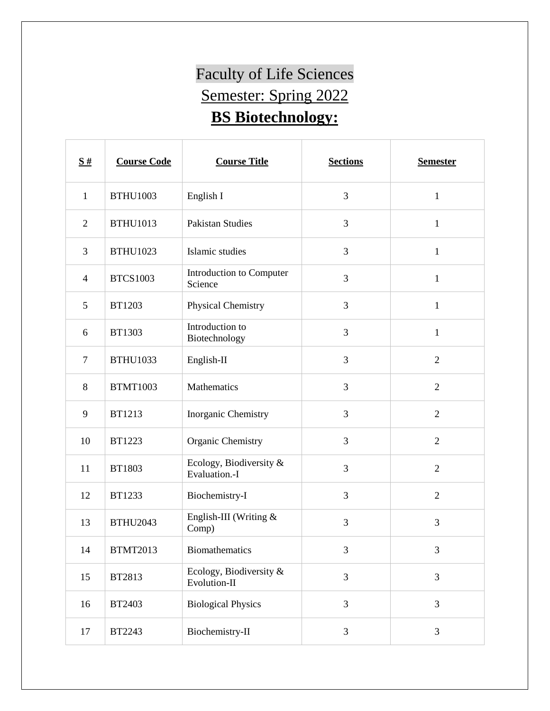## Faculty of Life Sciences Semester: Spring 2022 **BS Biotechnology:**

| $\frac{S#}{4}$ | <b>Course Code</b> | <b>Course Title</b>                      | <b>Sections</b> | <b>Semester</b> |
|----------------|--------------------|------------------------------------------|-----------------|-----------------|
| $\mathbf{1}$   | <b>BTHU1003</b>    | English I                                | 3               | $\mathbf{1}$    |
| $\overline{2}$ | <b>BTHU1013</b>    | <b>Pakistan Studies</b>                  | 3               | $\mathbf{1}$    |
| 3              | <b>BTHU1023</b>    | Islamic studies                          | 3               | $\mathbf{1}$    |
| $\overline{4}$ | <b>BTCS1003</b>    | Introduction to Computer<br>Science      | 3               | $\mathbf{1}$    |
| 5              | BT1203             | Physical Chemistry                       | 3               | $\mathbf{1}$    |
| 6              | <b>BT1303</b>      | Introduction to<br>Biotechnology         | 3               | $\mathbf{1}$    |
| $\tau$         | <b>BTHU1033</b>    | English-II                               | 3               | $\overline{2}$  |
| 8              | <b>BTMT1003</b>    | Mathematics                              | 3               | $\overline{2}$  |
| 9              | <b>BT1213</b>      | Inorganic Chemistry                      | 3               | $\overline{2}$  |
| 10             | BT1223             | Organic Chemistry                        | 3               | $\overline{2}$  |
| 11             | BT1803             | Ecology, Biodiversity &<br>Evaluation.-I | 3               | $\overline{2}$  |
| 12             | BT1233             | Biochemistry-I                           | 3               | $\overline{2}$  |
| 13             | <b>BTHU2043</b>    | English-III (Writing $&$<br>Comp)        | 3               | 3               |
| 14             | <b>BTMT2013</b>    | Biomathematics                           | 3               | 3               |
| 15             | BT2813             | Ecology, Biodiversity &<br>Evolution-II  | 3               | 3               |
| 16             | BT2403             | <b>Biological Physics</b>                | 3               | 3               |
| 17             | BT2243             | Biochemistry-II                          | 3               | 3               |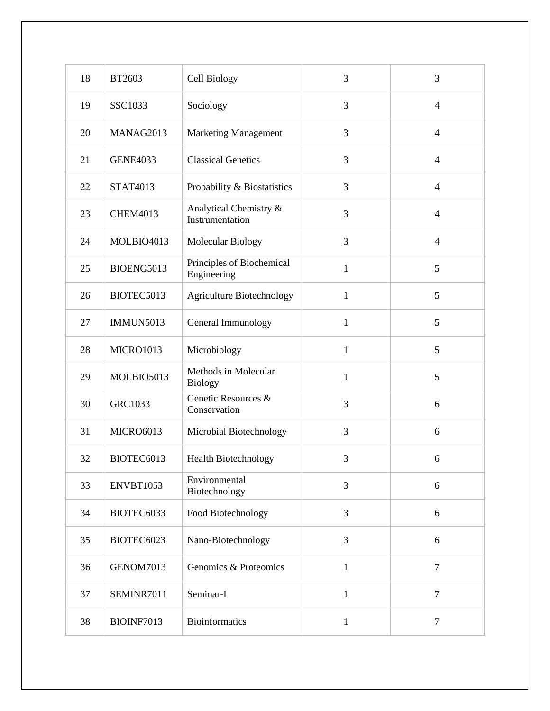| 18 | BT2603           | Cell Biology                              | 3            | 3              |
|----|------------------|-------------------------------------------|--------------|----------------|
| 19 | SSC1033          | Sociology                                 | 3            | $\overline{4}$ |
| 20 | MANAG2013        | <b>Marketing Management</b>               | 3            | $\overline{4}$ |
| 21 | <b>GENE4033</b>  | <b>Classical Genetics</b>                 | 3            | $\overline{4}$ |
| 22 | <b>STAT4013</b>  | Probability & Biostatistics               | 3            | $\overline{4}$ |
| 23 | <b>CHEM4013</b>  | Analytical Chemistry &<br>Instrumentation | 3            | $\overline{4}$ |
| 24 | MOLBIO4013       | Molecular Biology                         | 3            | $\overline{4}$ |
| 25 | BIOENG5013       | Principles of Biochemical<br>Engineering  | $\mathbf{1}$ | 5              |
| 26 | BIOTEC5013       | <b>Agriculture Biotechnology</b>          | $\mathbf{1}$ | 5              |
| 27 | <b>IMMUN5013</b> | General Immunology                        | $\mathbf{1}$ | 5              |
| 28 | MICRO1013        | Microbiology                              | $\mathbf{1}$ | 5              |
| 29 | MOLBIO5013       | Methods in Molecular<br><b>Biology</b>    | $\mathbf{1}$ | 5              |
| 30 | <b>GRC1033</b>   | Genetic Resources &<br>Conservation       | 3            | 6              |
| 31 | <b>MICRO6013</b> | Microbial Biotechnology                   | 3            | 6              |
| 32 | BIOTEC6013       | <b>Health Biotechnology</b>               | 3            | 6              |
| 33 | ENVBT1053        | Environmental<br>Biotechnology            | 3            | 6              |
| 34 | BIOTEC6033       | Food Biotechnology                        | 3            | 6              |
| 35 | BIOTEC6023       | Nano-Biotechnology                        | 3            | 6              |
| 36 | GENOM7013        | Genomics & Proteomics                     | $\mathbf{1}$ | $\tau$         |
| 37 | SEMINR7011       | Seminar-I                                 | $\mathbf{1}$ | $\tau$         |
| 38 | BIOINF7013       | <b>Bioinformatics</b>                     | $\mathbf{1}$ | $\tau$         |